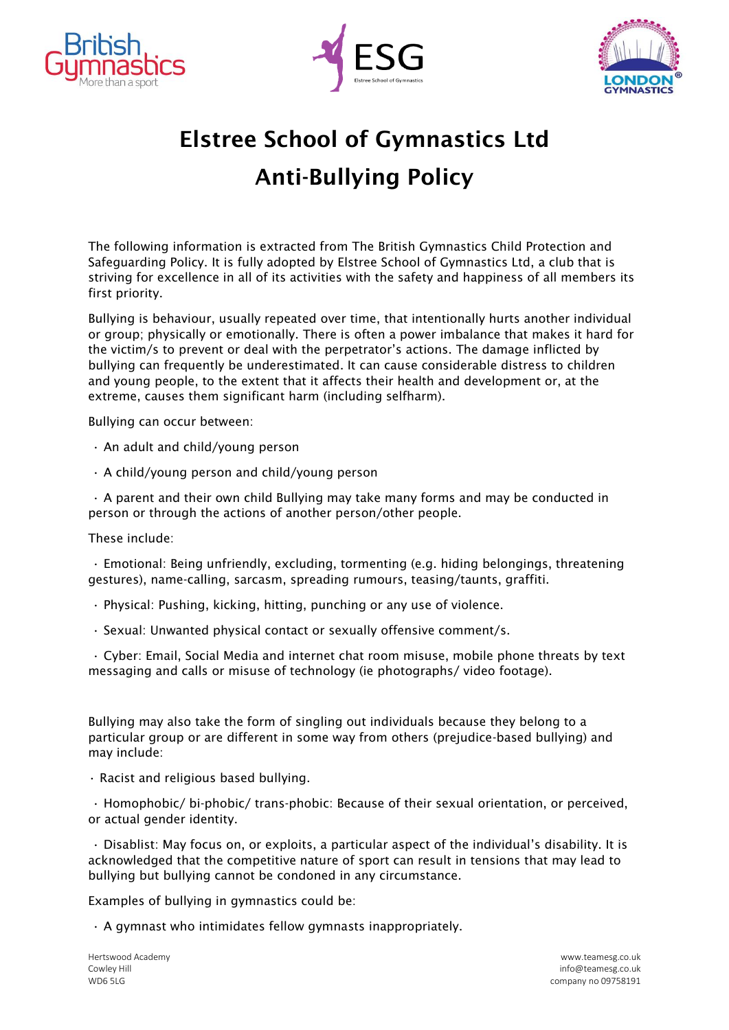





## Elstree School of Gymnastics Ltd Anti-Bullying Policy

The following information is extracted from The British Gymnastics Child Protection and Safeguarding Policy. It is fully adopted by Elstree School of Gymnastics Ltd, a club that is striving for excellence in all of its activities with the safety and happiness of all members its first priority.

Bullying is behaviour, usually repeated over time, that intentionally hurts another individual or group; physically or emotionally. There is often a power imbalance that makes it hard for the victim/s to prevent or deal with the perpetrator's actions. The damage inflicted by bullying can frequently be underestimated. It can cause considerable distress to children and young people, to the extent that it affects their health and development or, at the extreme, causes them significant harm (including selfharm).

Bullying can occur between:

- An adult and child/young person
- A child/young person and child/young person

• A parent and their own child Bullying may take many forms and may be conducted in person or through the actions of another person/other people.

These include:

• Emotional: Being unfriendly, excluding, tormenting (e.g. hiding belongings, threatening gestures), name-calling, sarcasm, spreading rumours, teasing/taunts, graffiti.

- Physical: Pushing, kicking, hitting, punching or any use of violence.
- Sexual: Unwanted physical contact or sexually offensive comment/s.

• Cyber: Email, Social Media and internet chat room misuse, mobile phone threats by text messaging and calls or misuse of technology (ie photographs/ video footage).

Bullying may also take the form of singling out individuals because they belong to a particular group or are different in some way from others (prejudice-based bullying) and may include:

• Racist and religious based bullying.

• Homophobic/ bi-phobic/ trans-phobic: Because of their sexual orientation, or perceived, or actual gender identity.

• Disablist: May focus on, or exploits, a particular aspect of the individual's disability. It is acknowledged that the competitive nature of sport can result in tensions that may lead to bullying but bullying cannot be condoned in any circumstance.

Examples of bullying in gymnastics could be:

• A gymnast who intimidates fellow gymnasts inappropriately.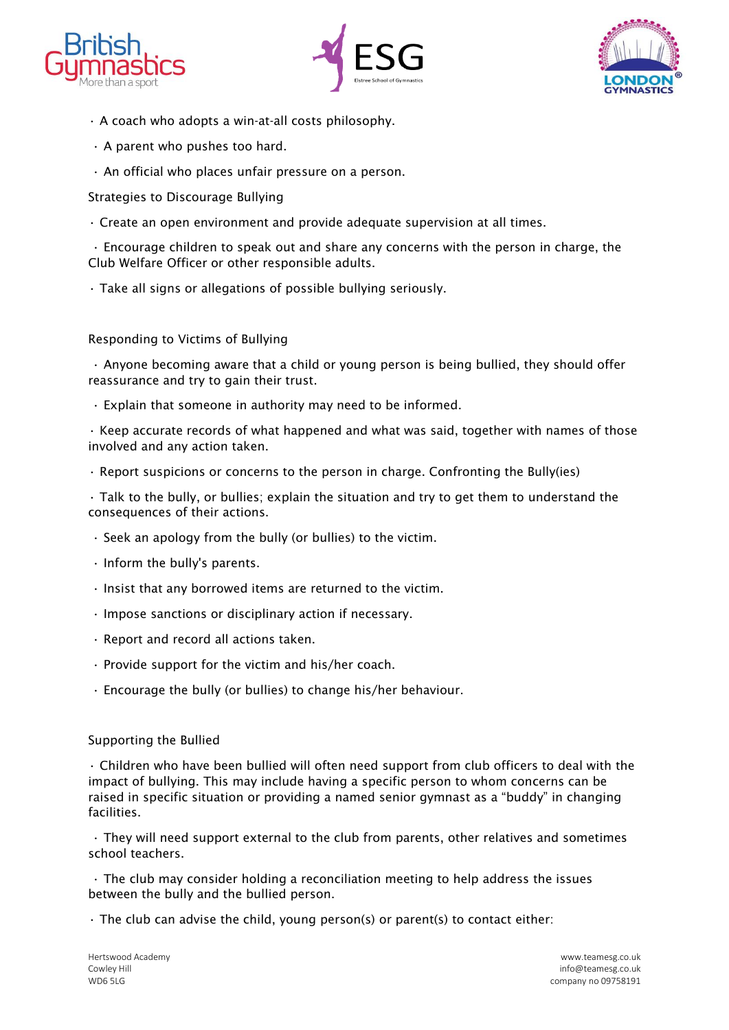





- A coach who adopts a win-at-all costs philosophy.
- A parent who pushes too hard.
- An official who places unfair pressure on a person.

Strategies to Discourage Bullying

• Create an open environment and provide adequate supervision at all times.

• Encourage children to speak out and share any concerns with the person in charge, the Club Welfare Officer or other responsible adults.

• Take all signs or allegations of possible bullying seriously.

Responding to Victims of Bullying

• Anyone becoming aware that a child or young person is being bullied, they should offer reassurance and try to gain their trust.

• Explain that someone in authority may need to be informed.

• Keep accurate records of what happened and what was said, together with names of those involved and any action taken.

• Report suspicions or concerns to the person in charge. Confronting the Bully(ies)

• Talk to the bully, or bullies; explain the situation and try to get them to understand the consequences of their actions.

- Seek an apology from the bully (or bullies) to the victim.
- Inform the bully's parents.
- Insist that any borrowed items are returned to the victim.
- Impose sanctions or disciplinary action if necessary.
- Report and record all actions taken.
- Provide support for the victim and his/her coach.
- Encourage the bully (or bullies) to change his/her behaviour.

## Supporting the Bullied

• Children who have been bullied will often need support from club officers to deal with the impact of bullying. This may include having a specific person to whom concerns can be raised in specific situation or providing a named senior gymnast as a "buddy" in changing facilities.

• They will need support external to the club from parents, other relatives and sometimes school teachers.

• The club may consider holding a reconciliation meeting to help address the issues between the bully and the bullied person.

 $\cdot$  The club can advise the child, young person(s) or parent(s) to contact either: